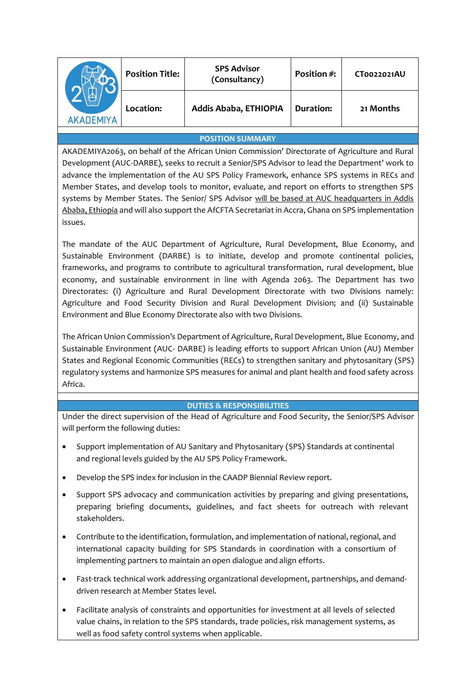| ΔΚΔΠΕΜΙΥΔ | <b>Position Title:</b> | <b>SPS Advisor</b><br>(Consultancy) | Position #: | CT0022021AU |
|-----------|------------------------|-------------------------------------|-------------|-------------|
|           | Location:              | Addis Ababa, ETHIOPIA               | Duration:   | 21 Months   |

## **POSITION SUMMARY**

AKADEMIYA2063, on behalf of the African Union Commission' Directorate of Agriculture and Rural Development (AUC-DARBE), seeks to recruit a Senior/SPS Advisor to lead the Department' work to advance the implementation of the AU SPS Policy Framework, enhance SPS systems in RECs and Member States, and develop tools to monitor, evaluate, and report on efforts to strengthen SPS systems by Member States. The Senior/ SPS Advisor will be based at AUC headquarters in Addis Ababa, Ethiopia and will also support the AfCFTA Secretariat in Accra, Ghana on SPS implementation issues.

The mandate of the AUC Department of Agriculture, Rural Development, Blue Economy, and Sustainable Environment (DARBE) is to initiate, develop and promote continental policies, frameworks, and programs to contribute to agricultural transformation, rural development, blue economy, and sustainable environment in line with Agenda 2063. The Department has two Directorates: (i) Agriculture and Rural Development Directorate with two Divisions namely: Agriculture and Food Security Division and Rural Development Division; and (ii) Sustainable Environment and Blue Economy Directorate also with two Divisions.

The African Union Commission's Department of Agriculture, Rural Development, Blue Economy, and Sustainable Environment (AUC- DARBE) is leading efforts to support African Union (AU) Member States and Regional Economic Communities (RECs) to strengthen sanitary and phytosanitary (SPS) regulatory systems and harmonize SPS measures for animal and plant health and food safety across Africa.

### **DUTIES & RESPONSIBILITIES**

Under the direct supervision of the Head of Agriculture and Food Security, the Senior/SPS Advisor will perform the following duties:

- Support implementation of AU Sanitary and Phytosanitary (SPS) Standards at continental and regional levels guided by the AU SPS Policy Framework.
- Develop the SPS index for inclusion in the CAADP Biennial Review report.
- Support SPS advocacy and communication activities by preparing and giving presentations, preparing briefing documents, guidelines, and fact sheets for outreach with relevant stakeholders.
- Contribute to the identification, formulation, and implementation of national, regional, and international capacity building for SPS Standards in coordination with a consortium of implementing partners to maintain an open dialogue and align efforts.
- Fast-track technical work addressing organizational development, partnerships, and demanddriven research at Member States level.
- Facilitate analysis of constraints and opportunities for investment at all levels of selected value chains, in relation to the SPS standards, trade policies, risk management systems, as well as food safety control systems when applicable.